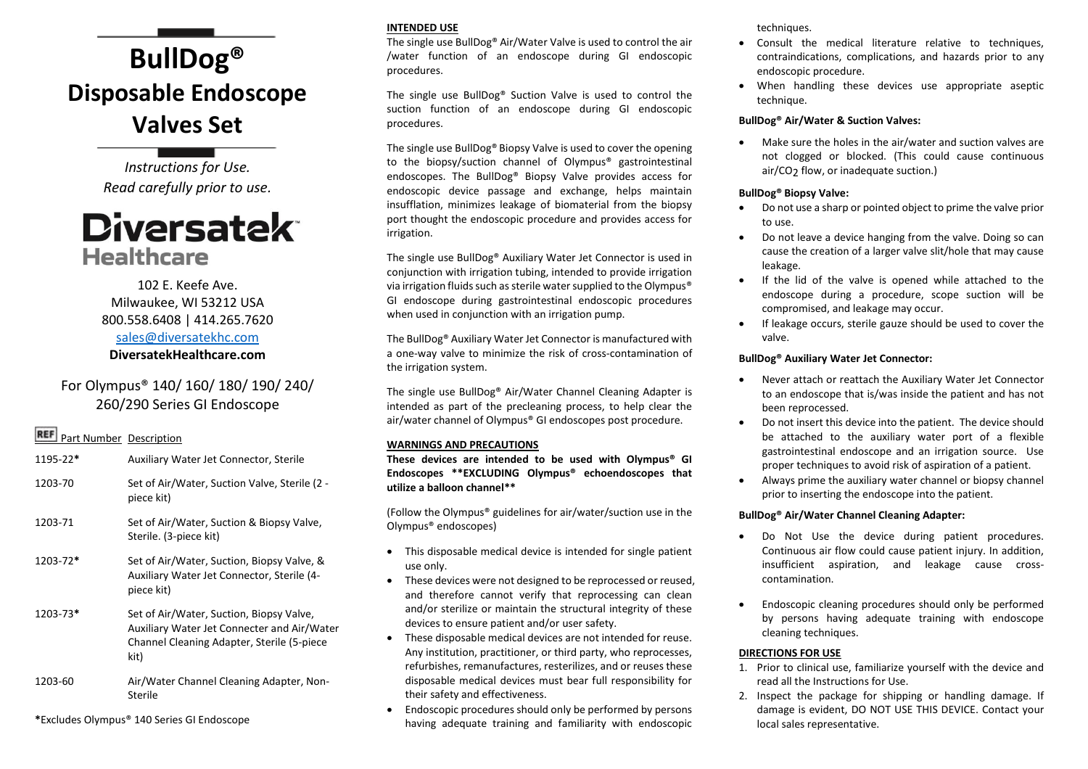# **BullDog® Disposable Endoscope Valves Set**

*Instructions for Use. Read carefully prior to use.*

## **Diversatek Healthcare**

### 102 E. Keefe Ave. Milwaukee, WI 53212 USA 800.558.6408 | 414.265.7620 [sales@diversatekhc.com](mailto:sales@diversatekhc.com) **DiversatekHealthcare.com**

## For Olympus® 140/ 160/ 180/ 190/ 240/ 260/290 Series GI Endoscope

## **REF** Part Number Description

1195-22**\*** Auxiliary Water Jet Connector, Sterile 1203-70 Set of Air/Water, Suction Valve, Sterile (2 piece kit) 1203-71 Set of Air/Water, Suction & Biopsy Valve, Sterile. (3-piece kit) 1203-72**\*** Set of Air/Water, Suction, Biopsy Valve, & Auxiliary Water Jet Connector, Sterile (4 piece kit) 1203-73**\*** Set of Air/Water, Suction, Biopsy Valve, Auxiliary Water Jet Connecter and Air/Water Channel Cleaning Adapter, Sterile (5-piece kit) 1203-60 Air/Water Channel Cleaning Adapter, Non-Sterile

**\***Excludes Olympus® 140 Series GI Endoscope

#### **INTENDED USE**

The single use BullDog® Air/Water Valve is used to control the air /water function of an endoscope during GI endoscopic procedures.

The single use BullDog® Suction Valve is used to control the suction function of an endoscope during GI endoscopic procedures.

The single use BullDog® Biopsy Valve is used to cover the opening to the biopsy/suction channel of Olympus® gastrointestinal endoscopes. The BullDog® Biopsy Valve provides access for endoscopic device passage and exchange, helps maintain insufflation, minimizes leakage of biomaterial from the biopsy port thought the endoscopic procedure and provides access for irrigation.

The single use BullDog® Auxiliary Water Jet Connector is used in conjunction with irrigation tubing, intended to provide irrigation via irrigation fluids such as sterile water supplied to the Olympus® GI endoscope during gastrointestinal endoscopic procedures when used in conjunction with an irrigation pump.

The BullDog® Auxiliary Water Jet Connector is manufactured with a one-way valve to minimize the risk of cross-contamination of the irrigation system.

The single use BullDog® Air/Water Channel Cleaning Adapter is intended as part of the precleaning process, to help clear the air/water channel of Olympus® GI endoscopes post procedure.

#### **WARNINGS AND PRECAUTIONS**

**These devices are intended to be used with Olympus® GI Endoscopes \*\*EXCLUDING Olympus® echoendoscopes that utilize a balloon channel\*\*** 

(Follow the Olympus® guidelines for air/water/suction use in the Olympus® endoscopes)

- This disposable medical device is intended for single patient use only.
- These devices were not designed to be reprocessed or reused, and therefore cannot verify that reprocessing can clean and/or sterilize or maintain the structural integrity of these devices to ensure patient and/or user safety.
- These disposable medical devices are not intended for reuse. Any institution, practitioner, or third party, who reprocesses, refurbishes, remanufactures, resterilizes, and or reuses these disposable medical devices must bear full responsibility for their safety and effectiveness.
- Endoscopic procedures should only be performed by persons having adequate training and familiarity with endoscopic

techniques.

- Consult the medical literature relative to techniques, contraindications, complications, and hazards prior to any endoscopic procedure.
- When handling these devices use appropriate aseptic technique.

#### **BullDog® Air/Water & Suction Valves:**

 Make sure the holes in the air/water and suction valves are not clogged or blocked. (This could cause continuous air/CO<sub>2</sub> flow, or inadequate suction.)

#### **BullDog® Biopsy Valve:**

- Do not use a sharp or pointed object to prime the valve prior to use.
- Do not leave a device hanging from the valve. Doing so can cause the creation of a larger valve slit/hole that may cause leakage.
- If the lid of the valve is opened while attached to the endoscope during a procedure, scope suction will be compromised, and leakage may occur.
- If leakage occurs, sterile gauze should be used to cover the valve.

#### **BullDog® Auxiliary Water Jet Connector:**

- Never attach or reattach the Auxiliary Water Jet Connector to an endoscope that is/was inside the patient and has not been reprocessed.
- Do not insert this device into the patient. The device should be attached to the auxiliary water port of a flexible gastrointestinal endoscope and an irrigation source. Use proper techniques to avoid risk of aspiration of a patient.
- Always prime the auxiliary water channel or biopsy channel prior to inserting the endoscope into the patient.

#### **BullDog® Air/Water Channel Cleaning Adapter:**

- Do Not Use the device during patient procedures. Continuous air flow could cause patient injury. In addition, insufficient aspiration, and leakage cause crosscontamination.
- Endoscopic cleaning procedures should only be performed by persons having adequate training with endoscope cleaning techniques.

#### **DIRECTIONS FOR USE**

- 1. Prior to clinical use, familiarize yourself with the device and read all the Instructions for Use.
- 2. Inspect the package for shipping or handling damage. If damage is evident, DO NOT USE THIS DEVICE. Contact your local sales representative.